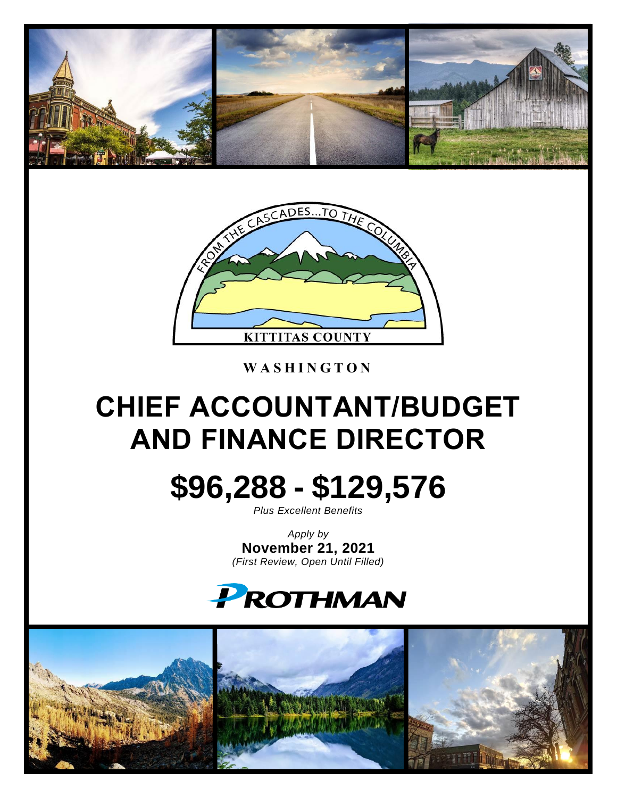



**W A S H I N G T O N**

# **CHIEF ACCOUNTANT/BUDGET AND FINANCE DIRECTOR**

# **\$96,288 - \$129,576**

*Plus Excellent Benefits*

*Apply by* **November 21, 2021** *(First Review, Open Until Filled)*

## **PROTHMAN**

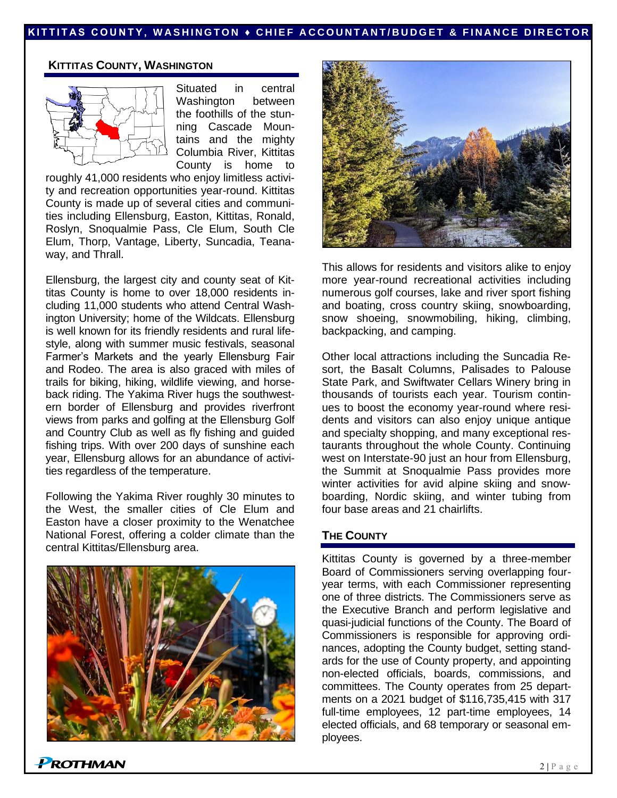#### **K I T T I T A S C O U N T Y , W A S H I N G T O N ♦ C H I E F A C C O U N T A N T / B U D G E T & F I N A N C E D I R E C T O R**

#### **KITTITAS COUNTY, WASHINGTON**



Situated in central Washington between the foothills of the stunning Cascade Mountains and the mighty Columbia River, Kittitas County is home to

roughly 41,000 residents who enjoy limitless activity and recreation opportunities year-round. Kittitas County is made up of several cities and communities including Ellensburg, Easton, Kittitas, Ronald, Roslyn, Snoqualmie Pass, Cle Elum, South Cle Elum, Thorp, Vantage, Liberty, Suncadia, Teanaway, and Thrall.

Ellensburg, the largest city and county seat of Kittitas County is home to over 18,000 residents including 11,000 students who attend Central Washington University; home of the Wildcats. Ellensburg is well known for its friendly residents and rural lifestyle, along with summer music festivals, seasonal Farmer's Markets and the yearly Ellensburg Fair and Rodeo. The area is also graced with miles of trails for biking, hiking, wildlife viewing, and horseback riding. The Yakima River hugs the southwestern border of Ellensburg and provides riverfront views from parks and golfing at the Ellensburg Golf and Country Club as well as fly fishing and guided fishing trips. With over 200 days of sunshine each year, Ellensburg allows for an abundance of activities regardless of the temperature.

Following the Yakima River roughly 30 minutes to the West, the smaller cities of Cle Elum and Easton have a closer proximity to the Wenatchee National Forest, offering a colder climate than the central Kittitas/Ellensburg area.





This allows for residents and visitors alike to enjoy more year-round recreational activities including numerous golf courses, lake and river sport fishing and boating, cross country skiing, snowboarding, snow shoeing, snowmobiling, hiking, climbing, backpacking, and camping.

Other local attractions including the Suncadia Resort, the Basalt Columns, Palisades to Palouse State Park, and Swiftwater Cellars Winery bring in thousands of tourists each year. Tourism continues to boost the economy year-round where residents and visitors can also enjoy unique antique and specialty shopping, and many exceptional restaurants throughout the whole County. Continuing west on Interstate-90 just an hour from Ellensburg, the Summit at Snoqualmie Pass provides more winter activities for avid alpine skiing and snowboarding, Nordic skiing, and winter tubing from four base areas and 21 chairlifts.

#### **THE COUNTY**

Kittitas County is governed by a three-member Board of Commissioners serving overlapping fouryear terms, with each Commissioner representing one of three districts. The Commissioners serve as the Executive Branch and perform legislative and quasi-judicial functions of the County. The Board of Commissioners is responsible for approving ordinances, adopting the County budget, setting standards for the use of County property, and appointing non-elected officials, boards, commissions, and committees. The County operates from 25 departments on a 2021 budget of \$116,735,415 with 317 full-time employees, 12 part-time employees, 14 elected officials, and 68 temporary or seasonal employees.

**ROTHMAN**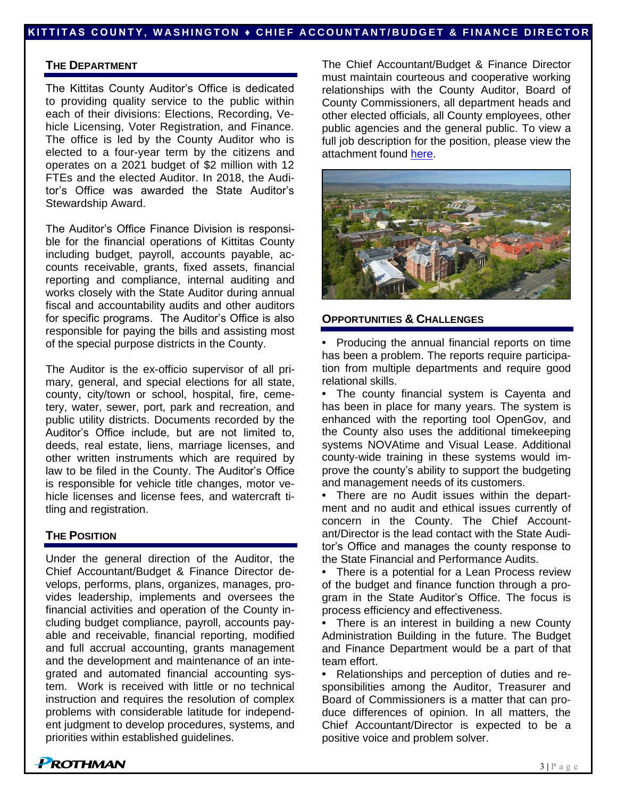#### **THE DEPARTMENT**

The Kittitas County Auditor's Office is dedicated to providing quality service to the public within each of their divisions: Elections, Recording, Vehicle Licensing, Voter Registration, and Finance. The office is led by the County Auditor who is elected to a four-year term by the citizens and operates on a 2021 budget of \$2 million with 12 FTEs and the elected Auditor. In 2018, the Auditor's Office was awarded the State Auditor's Stewardship Award.

The Auditor's Office Finance Division is responsible for the financial operations of Kittitas County including budget, payroll, accounts payable, accounts receivable, grants, fixed assets, financial reporting and compliance, internal auditing and works closely with the State Auditor during annual fiscal and accountability audits and other auditors for specific programs. The Auditor's Office is also responsible for paying the bills and assisting most of the special purpose districts in the County.

The Auditor is the ex-officio supervisor of all primary, general, and special elections for all state, county, city/town or school, hospital, fire, cemetery, water, sewer, port, park and recreation, and public utility districts. Documents recorded by the Auditor's Office include, but are not limited to, deeds, real estate, liens, marriage licenses, and other written instruments which are required by law to be filed in the County. The Auditor's Office is responsible for vehicle title changes, motor vehicle licenses and license fees, and watercraft titling and registration.

#### **THE POSITION**

Under the general direction of the Auditor, the Chief Accountant/Budget & Finance Director develops, performs, plans, organizes, manages, provides leadership, implements and oversees the financial activities and operation of the County including budget compliance, payroll, accounts payable and receivable, financial reporting, modified and full accrual accounting, grants management and the development and maintenance of an integrated and automated financial accounting system. Work is received with little or no technical instruction and requires the resolution of complex problems with considerable latitude for independent judgment to develop procedures, systems, and priorities within established guidelines.

The Chief Accountant/Budget & Finance Director must maintain courteous and cooperative working relationships with the County Auditor, Board of County Commissioners, all department heads and other elected officials, all County employees, other public agencies and the general public. To view a full job description for the position, please view the attachment found [here.](https://prothman.com/JobFiles/2873/Budget%20Finance%20Director%20Job%20Description.pdf)



#### **OPPORTUNITIES & CHALLENGES**

**•** Producing the annual financial reports on time has been a problem. The reports require participation from multiple departments and require good relational skills.

**•** The county financial system is Cayenta and has been in place for many years. The system is enhanced with the reporting tool OpenGov, and the County also uses the additional timekeeping systems NOVAtime and Visual Lease. Additional county-wide training in these systems would improve the county's ability to support the budgeting and management needs of its customers.

**•** There are no Audit issues within the department and no audit and ethical issues currently of concern in the County. The Chief Accountant/Director is the lead contact with the State Auditor's Office and manages the county response to the State Financial and Performance Audits.

**•** There is a potential for a Lean Process review of the budget and finance function through a program in the State Auditor's Office. The focus is process efficiency and effectiveness.

**•** There is an interest in building a new County Administration Building in the future. The Budget and Finance Department would be a part of that team effort.

**•** Relationships and perception of duties and responsibilities among the Auditor, Treasurer and Board of Commissioners is a matter that can produce differences of opinion. In all matters, the Chief Accountant/Director is expected to be a positive voice and problem solver.